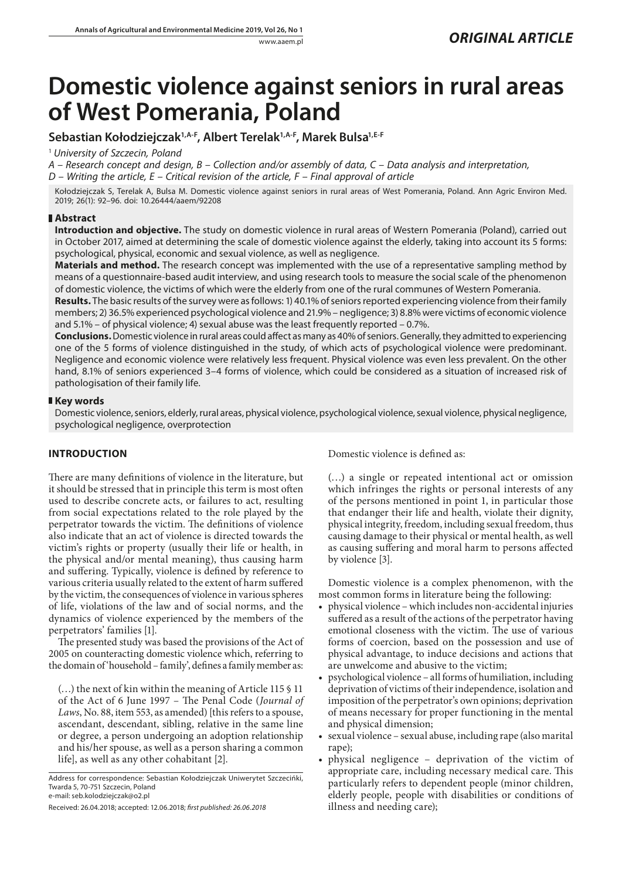# **Domestic violence against seniors in rural areas of West Pomerania, Poland**

# **Sebastian Kołodziejczak1,A-F, Albert Terelak1,A-F, Marek Bulsa1,E-F**

<sup>1</sup> *University of Szczecin, Poland*

*A – Research concept and design, B – Collection and/or assembly of data, C – Data analysis and interpretation,* 

*D – Writing the article, E – Critical revision of the article, F – Final approval of article*

Kołodziejczak S, Terelak A, Bulsa M. Domestic violence against seniors in rural areas of West Pomerania, Poland. Ann Agric Environ Med. 2019; 26(1): 92–96. doi: 10.26444/aaem/92208

## **Abstract**

**Introduction and objective.** The study on domestic violence in rural areas of Western Pomerania (Poland), carried out in October 2017, aimed at determining the scale of domestic violence against the elderly, taking into account its 5 forms: psychological, physical, economic and sexual violence, as well as negligence.

**Materials and method.** The research concept was implemented with the use of a representative sampling method by means of a questionnaire-based audit interview, and using research tools to measure the social scale of the phenomenon of domestic violence, the victims of which were the elderly from one of the rural communes of Western Pomerania.

**Results.** The basic results of the survey were as follows: 1) 40.1% of seniors reported experiencing violence from their family members; 2) 36.5% experienced psychological violence and 21.9% – negligence; 3) 8.8% were victims of economic violence and  $5.1\%$  – of physical violence; 4) sexual abuse was the least frequently reported – 0.7%.

**Conclusions.** Domestic violence in rural areas could affect as many as 40% of seniors. Generally, they admitted to experiencing one of the 5 forms of violence distinguished in the study, of which acts of psychological violence were predominant. Negligence and economic violence were relatively less frequent. Physical violence was even less prevalent. On the other hand, 8.1% of seniors experienced 3–4 forms of violence, which could be considered as a situation of increased risk of pathologisation of their family life.

## **Key words**

Domestic violence, seniors, elderly, rural areas, physical violence, psychological violence, sexual violence, physical negligence, psychological negligence, overprotection

# **INTRODUCTION**

There are many definitions of violence in the literature, but it should be stressed that in principle this term is most often used to describe concrete acts, or failures to act, resulting from social expectations related to the role played by the perpetrator towards the victim. The definitions of violence also indicate that an act of violence is directed towards the victim's rights or property (usually their life or health, in the physical and/or mental meaning), thus causing harm and suffering. Typically, violence is defined by reference to various criteria usually related to the extent of harm suffered by the victim, the consequences of violence in various spheres of life, violations of the law and of social norms, and the dynamics of violence experienced by the members of the perpetrators' families [1].

The presented study was based the provisions of the Act of 2005 on counteracting domestic violence which, referring to the domain of 'household – family', defines a family member as:

(…) the next of kin within the meaning of Article 115 § 11 of the Act of 6 June 1997 – The Penal Code (*Journal of Laws*, No. 88, item 553, as amended) [this refers to a spouse, ascendant, descendant, sibling, relative in the same line or degree, a person undergoing an adoption relationship and his/her spouse, as well as a person sharing a common life], as well as any other cohabitant [2].

Domestic violence is defined as:

(…) a single or repeated intentional act or omission which infringes the rights or personal interests of any of the persons mentioned in point 1, in particular those that endanger their life and health, violate their dignity, physical integrity, freedom, including sexual freedom, thus causing damage to their physical or mental health, as well as causing suffering and moral harm to persons affected by violence [3].

Domestic violence is a complex phenomenon, with the most common forms in literature being the following:

- physical violence which includes non-accidental injuries suffered as a result of the actions of the perpetrator having emotional closeness with the victim. The use of various forms of coercion, based on the possession and use of physical advantage, to induce decisions and actions that are unwelcome and abusive to the victim;
- psychological violence all forms of humiliation, including deprivation of victims of their independence, isolation and imposition of the perpetrator's own opinions; deprivation of means necessary for proper functioning in the mental and physical dimension;
- • sexual violence sexual abuse, including rape (also marital rape);
- physical negligence deprivation of the victim of appropriate care, including necessary medical care. This particularly refers to dependent people (minor children, elderly people, people with disabilities or conditions of illness and needing care);

Address for correspondence: Sebastian Kołodziejczak Uniwerytet Szczecińki, Twarda 5, 70-751 Szczecin, Poland e-mail: seb.kolodziejczak@o2.pl

Received: 26.04.2018; accepted: 12.06.2018; *first published: 26.06.2018*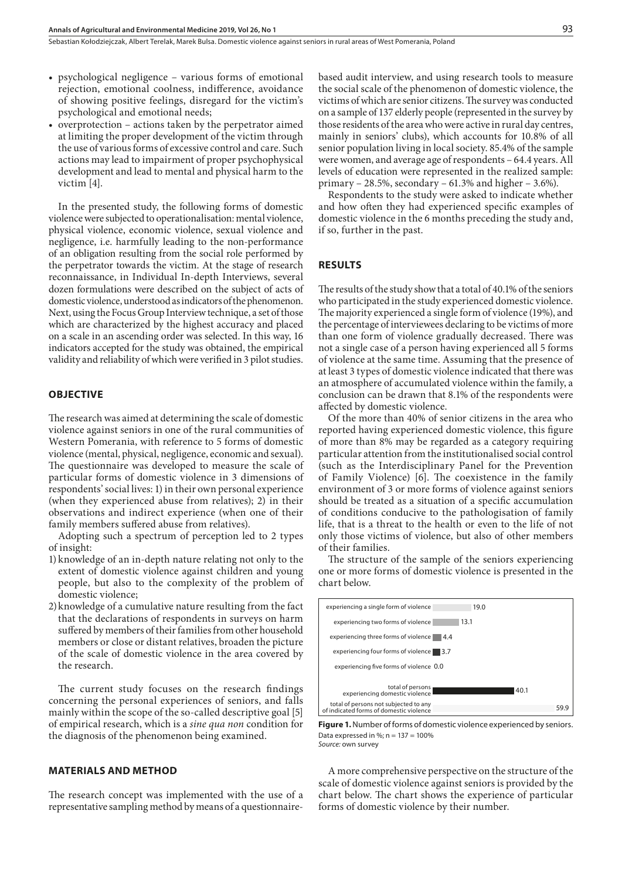- psychological negligence various forms of emotional rejection, emotional coolness, indifference, avoidance of showing positive feelings, disregard for the victim's psychological and emotional needs;
- overprotection actions taken by the perpetrator aimed at limiting the proper development of the victim through the use of various forms of excessive control and care. Such actions may lead to impairment of proper psychophysical development and lead to mental and physical harm to the victim [4].

In the presented study, the following forms of domestic violence were subjected to operationalisation: mental violence, physical violence, economic violence, sexual violence and negligence, i.e. harmfully leading to the non-performance of an obligation resulting from the social role performed by the perpetrator towards the victim. At the stage of research reconnaissance, in Individual In-depth Interviews, several dozen formulations were described on the subject of acts of domestic violence, understood as indicators of the phenomenon. Next, using the Focus Group Interview technique, a set of those which are characterized by the highest accuracy and placed on a scale in an ascending order was selected. In this way, 16 indicators accepted for the study was obtained, the empirical validity and reliability of which were verified in 3 pilot studies.

#### **OBJECTIVE**

The research was aimed at determining the scale of domestic violence against seniors in one of the rural communities of Western Pomerania, with reference to 5 forms of domestic violence (mental, physical, negligence, economic and sexual). The questionnaire was developed to measure the scale of particular forms of domestic violence in 3 dimensions of respondents' social lives: 1) in their own personal experience (when they experienced abuse from relatives); 2) in their observations and indirect experience (when one of their family members suffered abuse from relatives).

Adopting such a spectrum of perception led to 2 types of insight:

- 1) knowledge of an in-depth nature relating not only to the extent of domestic violence against children and young people, but also to the complexity of the problem of domestic violence;
- 2)knowledge of a cumulative nature resulting from the fact that the declarations of respondents in surveys on harm suffered by members of their families from other household members or close or distant relatives, broaden the picture of the scale of domestic violence in the area covered by the research.

The current study focuses on the research findings concerning the personal experiences of seniors, and falls mainly within the scope of the so-called descriptive goal [5] of empirical research, which is a *sine qua non* condition for the diagnosis of the phenomenon being examined.

#### **MATERIALS AND METHOD**

The research concept was implemented with the use of a representative sampling method by means of a questionnairebased audit interview, and using research tools to measure the social scale of the phenomenon of domestic violence, the victims of which are senior citizens. The survey was conducted on a sample of 137 elderly people (represented in the survey by those residents of the area who were active in rural day centres, mainly in seniors' clubs), which accounts for 10.8% of all senior population living in local society. 85.4% of the sample were women, and average age of respondents – 64.4 years. All levels of education were represented in the realized sample: primary – 28.5%, secondary –  $61.3\%$  and higher –  $3.6\%$ ).

Respondents to the study were asked to indicate whether and how often they had experienced specific examples of domestic violence in the 6 months preceding the study and, if so, further in the past.

#### **RESULTS**

The results of the study show that a total of 40.1% of the seniors who participated in the study experienced domestic violence. The majority experienced a single form of violence (19%), and the percentage of interviewees declaring to be victims of more than one form of violence gradually decreased. There was not a single case of a person having experienced all 5 forms of violence at the same time. Assuming that the presence of at least 3 types of domestic violence indicated that there was an atmosphere of accumulated violence within the family, a conclusion can be drawn that 8.1% of the respondents were affected by domestic violence.

Of the more than 40% of senior citizens in the area who reported having experienced domestic violence, this figure of more than 8% may be regarded as a category requiring particular attention from the institutionalised social control (such as the Interdisciplinary Panel for the Prevention of Family Violence) [6]. The coexistence in the family environment of 3 or more forms of violence against seniors should be treated as a situation of a specific accumulation of conditions conducive to the pathologisation of family life, that is a threat to the health or even to the life of not only those victims of violence, but also of other members of their families.

The structure of the sample of the seniors experiencing one or more forms of domestic violence is presented in the chart below.



**Figure 1.** Number of forms of domestic violence experienced by seniors. Data expressed in %;  $n = 137 = 100%$ *Source:* own survey

A more comprehensive perspective on the structure of the scale of domestic violence against seniors is provided by the chart below. The chart shows the experience of particular forms of domestic violence by their number.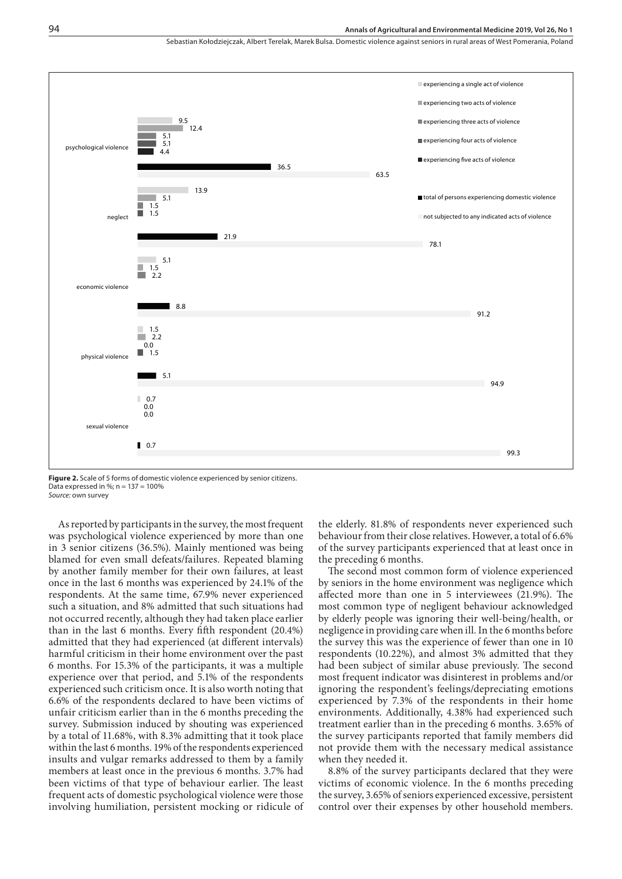#### **Annals of Agricultural and Environmental Medicine 2019, Vol 26, No 1**

Sebastian Kołodziejczak, Albert Terelak, Marek Bulsa, Domestic violence against seniors in rural areas of West Pomerania, Poland



**Figure 2.** Scale of 5 forms of domestic violence experienced by senior citizens. Data expressed in %;  $n = 137 = 100%$ *Source:* own survey

As reported by participants in the survey, the most frequent was psychological violence experienced by more than one in 3 senior citizens (36.5%). Mainly mentioned was being blamed for even small defeats/failures. Repeated blaming by another family member for their own failures, at least once in the last 6 months was experienced by 24.1% of the respondents. At the same time, 67.9% never experienced such a situation, and 8% admitted that such situations had not occurred recently, although they had taken place earlier than in the last 6 months. Every fifth respondent (20.4%) admitted that they had experienced (at different intervals) harmful criticism in their home environment over the past 6 months. For 15.3% of the participants, it was a multiple experience over that period, and 5.1% of the respondents experienced such criticism once. It is also worth noting that 6.6% of the respondents declared to have been victims of unfair criticism earlier than in the 6 months preceding the survey. Submission induced by shouting was experienced by a total of 11.68%, with 8.3% admitting that it took place within the last 6 months. 19% of the respondents experienced insults and vulgar remarks addressed to them by a family members at least once in the previous 6 months. 3.7% had been victims of that type of behaviour earlier. The least frequent acts of domestic psychological violence were those involving humiliation, persistent mocking or ridicule of the elderly. 81.8% of respondents never experienced such behaviour from their close relatives. However, a total of 6.6% of the survey participants experienced that at least once in the preceding 6 months.

The second most common form of violence experienced by seniors in the home environment was negligence which affected more than one in 5 interviewees (21.9%). The most common type of negligent behaviour acknowledged by elderly people was ignoring their well-being/health, or negligence in providing care when ill. In the 6 months before the survey this was the experience of fewer than one in 10 respondents (10.22%), and almost 3% admitted that they had been subject of similar abuse previously. The second most frequent indicator was disinterest in problems and/or ignoring the respondent's feelings/depreciating emotions experienced by 7.3% of the respondents in their home environments. Additionally, 4.38% had experienced such treatment earlier than in the preceding 6 months. 3.65% of the survey participants reported that family members did not provide them with the necessary medical assistance when they needed it.

8.8% of the survey participants declared that they were victims of economic violence. In the 6 months preceding the survey, 3.65% of seniors experienced excessive, persistent control over their expenses by other household members.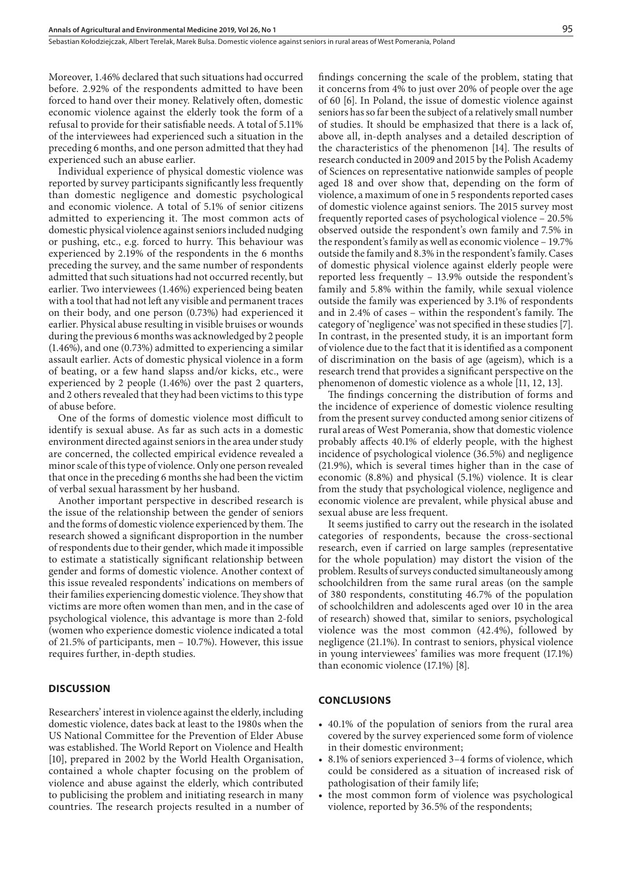Moreover, 1.46% declared that such situations had occurred before. 2.92% of the respondents admitted to have been forced to hand over their money. Relatively often, domestic economic violence against the elderly took the form of a refusal to provide for their satisfiable needs. A total of 5.11% of the interviewees had experienced such a situation in the preceding 6 months, and one person admitted that they had experienced such an abuse earlier.

Individual experience of physical domestic violence was reported by survey participants significantly less frequently than domestic negligence and domestic psychological and economic violence. A total of 5.1% of senior citizens admitted to experiencing it. The most common acts of domestic physical violence against seniors included nudging or pushing, etc., e.g. forced to hurry. This behaviour was experienced by 2.19% of the respondents in the 6 months preceding the survey, and the same number of respondents admitted that such situations had not occurred recently, but earlier. Two interviewees (1.46%) experienced being beaten with a tool that had not left any visible and permanent traces on their body, and one person (0.73%) had experienced it earlier. Physical abuse resulting in visible bruises or wounds during the previous 6 months was acknowledged by 2 people (1.46%), and one (0.73%) admitted to experiencing a similar assault earlier. Acts of domestic physical violence in a form of beating, or a few hand slapss and/or kicks, etc., were experienced by 2 people (1.46%) over the past 2 quarters, and 2 others revealed that they had been victims to this type of abuse before.

One of the forms of domestic violence most difficult to identify is sexual abuse. As far as such acts in a domestic environment directed against seniors in the area under study are concerned, the collected empirical evidence revealed a minor scale of this type of violence. Only one person revealed that once in the preceding 6 months she had been the victim of verbal sexual harassment by her husband.

Another important perspective in described research is the issue of the relationship between the gender of seniors and the forms of domestic violence experienced by them. The research showed a significant disproportion in the number of respondents due to their gender, which made it impossible to estimate a statistically significant relationship between gender and forms of domestic violence. Another context of this issue revealed respondents' indications on members of their families experiencing domestic violence. They show that victims are more often women than men, and in the case of psychological violence, this advantage is more than 2-fold (women who experience domestic violence indicated a total of 21.5% of participants, men – 10.7%). However, this issue requires further, in-depth studies.

### **DISCUSSION**

Researchers' interest in violence against the elderly, including domestic violence, dates back at least to the 1980s when the US National Committee for the Prevention of Elder Abuse was established. The World Report on Violence and Health [10], prepared in 2002 by the World Health Organisation, contained a whole chapter focusing on the problem of violence and abuse against the elderly, which contributed to publicising the problem and initiating research in many countries. The research projects resulted in a number of findings concerning the scale of the problem, stating that it concerns from 4% to just over 20% of people over the age of 60 [6]. In Poland, the issue of domestic violence against seniors has so far been the subject of a relatively small number of studies. It should be emphasized that there is a lack of, above all, in-depth analyses and a detailed description of the characteristics of the phenomenon [14]. The results of research conducted in 2009 and 2015 by the Polish Academy of Sciences on representative nationwide samples of people aged 18 and over show that, depending on the form of violence, a maximum of one in 5 respondents reported cases of domestic violence against seniors. The 2015 survey most frequently reported cases of psychological violence – 20.5% observed outside the respondent's own family and 7.5% in the respondent's family as well as economic violence – 19.7% outside the family and 8.3% in the respondent's family. Cases of domestic physical violence against elderly people were reported less frequently – 13.9% outside the respondent's family and 5.8% within the family, while sexual violence outside the family was experienced by 3.1% of respondents and in 2.4% of cases – within the respondent's family. The category of 'negligence' was not specified in these studies [7]. In contrast, in the presented study, it is an important form of violence due to the fact that it is identified as a component of discrimination on the basis of age (ageism), which is a research trend that provides a significant perspective on the phenomenon of domestic violence as a whole [11, 12, 13].

The findings concerning the distribution of forms and the incidence of experience of domestic violence resulting from the present survey conducted among senior citizens of rural areas of West Pomerania, show that domestic violence probably affects 40.1% of elderly people, with the highest incidence of psychological violence (36.5%) and negligence (21.9%), which is several times higher than in the case of economic (8.8%) and physical (5.1%) violence. It is clear from the study that psychological violence, negligence and economic violence are prevalent, while physical abuse and sexual abuse are less frequent.

It seems justified to carry out the research in the isolated categories of respondents, because the cross-sectional research, even if carried on large samples (representative for the whole population) may distort the vision of the problem. Results of surveys conducted simultaneously among schoolchildren from the same rural areas (on the sample of 380 respondents, constituting 46.7% of the population of schoolchildren and adolescents aged over 10 in the area of research) showed that, similar to seniors, psychological violence was the most common (42.4%), followed by negligence (21.1%). In contrast to seniors, physical violence in young interviewees' families was more frequent (17.1%) than economic violence (17.1%) [8].

#### **CONCLUSIONS**

- 40.1% of the population of seniors from the rural area covered by the survey experienced some form of violence in their domestic environment;
- • 8.1% of seniors experienced 3–4 forms of violence, which could be considered as a situation of increased risk of pathologisation of their family life;
- the most common form of violence was psychological violence, reported by 36.5% of the respondents;